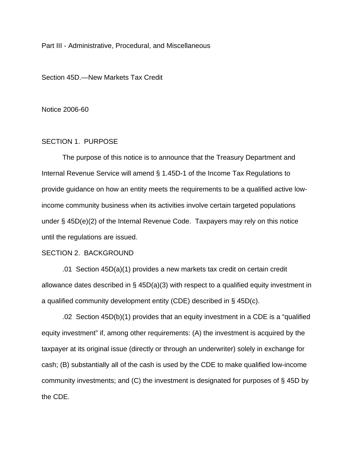Part III - Administrative, Procedural, and Miscellaneous

Section 45D.—New Markets Tax Credit

Notice 2006-60

# SECTION 1. PURPOSE

 The purpose of this notice is to announce that the Treasury Department and Internal Revenue Service will amend § 1.45D-1 of the Income Tax Regulations to provide guidance on how an entity meets the requirements to be a qualified active lowincome community business when its activities involve certain targeted populations under § 45D(e)(2) of the Internal Revenue Code. Taxpayers may rely on this notice until the regulations are issued.

#### SECTION 2. BACKGROUND

 .01 Section 45D(a)(1) provides a new markets tax credit on certain credit allowance dates described in § 45D(a)(3) with respect to a qualified equity investment in a qualified community development entity (CDE) described in § 45D(c).

 .02 Section 45D(b)(1) provides that an equity investment in a CDE is a "qualified equity investment" if, among other requirements: (A) the investment is acquired by the taxpayer at its original issue (directly or through an underwriter) solely in exchange for cash; (B) substantially all of the cash is used by the CDE to make qualified low-income community investments; and (C) the investment is designated for purposes of § 45D by the CDE.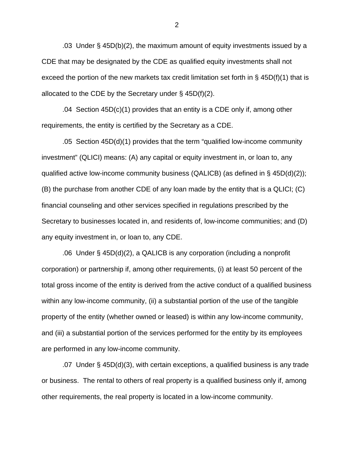.03 Under § 45D(b)(2), the maximum amount of equity investments issued by a CDE that may be designated by the CDE as qualified equity investments shall not exceed the portion of the new markets tax credit limitation set forth in  $\S$  45D(f)(1) that is allocated to the CDE by the Secretary under  $\S$  45D(f)(2).

 $.04$  Section 45D(c)(1) provides that an entity is a CDE only if, among other requirements, the entity is certified by the Secretary as a CDE.

 .05 Section 45D(d)(1) provides that the term "qualified low-income community investment" (QLICI) means: (A) any capital or equity investment in, or loan to, any qualified active low-income community business (QALICB) (as defined in § 45D(d)(2)); (B) the purchase from another CDE of any loan made by the entity that is a QLICI; (C) financial counseling and other services specified in regulations prescribed by the Secretary to businesses located in, and residents of, low-income communities; and (D) any equity investment in, or loan to, any CDE.

 .06 Under § 45D(d)(2), a QALICB is any corporation (including a nonprofit corporation) or partnership if, among other requirements, (i) at least 50 percent of the total gross income of the entity is derived from the active conduct of a qualified business within any low-income community, (ii) a substantial portion of the use of the tangible property of the entity (whether owned or leased) is within any low-income community, and (iii) a substantial portion of the services performed for the entity by its employees are performed in any low-income community.

 .07 Under § 45D(d)(3), with certain exceptions, a qualified business is any trade or business. The rental to others of real property is a qualified business only if, among other requirements, the real property is located in a low-income community.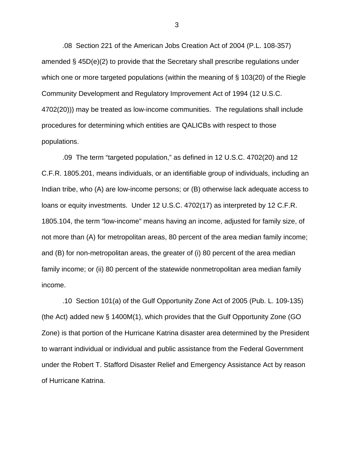.08 Section 221 of the American Jobs Creation Act of 2004 (P.L. 108-357) amended § 45D(e)(2) to provide that the Secretary shall prescribe regulations under which one or more targeted populations (within the meaning of § 103(20) of the Riegle Community Development and Regulatory Improvement Act of 1994 (12 U.S.C. 4702(20))) may be treated as low-income communities. The regulations shall include procedures for determining which entities are QALICBs with respect to those populations.

 .09 The term "targeted population," as defined in 12 U.S.C. 4702(20) and 12 C.F.R. 1805.201, means individuals, or an identifiable group of individuals, including an Indian tribe, who (A) are low-income persons; or (B) otherwise lack adequate access to loans or equity investments. Under 12 U.S.C. 4702(17) as interpreted by 12 C.F.R. 1805.104, the term "low-income" means having an income, adjusted for family size, of not more than (A) for metropolitan areas, 80 percent of the area median family income; and (B) for non-metropolitan areas, the greater of (i) 80 percent of the area median family income; or (ii) 80 percent of the statewide nonmetropolitan area median family income.

.10 Section 101(a) of the Gulf Opportunity Zone Act of 2005 (Pub. L. 109-135) (the Act) added new § 1400M(1), which provides that the Gulf Opportunity Zone (GO Zone) is that portion of the Hurricane Katrina disaster area determined by the President to warrant individual or individual and public assistance from the Federal Government under the Robert T. Stafford Disaster Relief and Emergency Assistance Act by reason of Hurricane Katrina.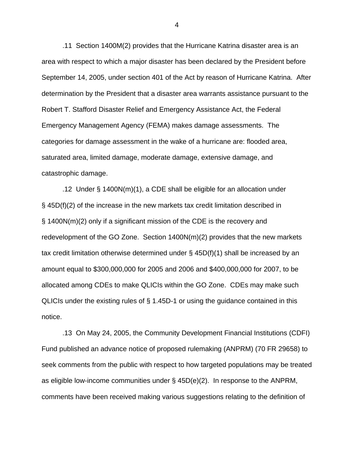.11 Section 1400M(2) provides that the Hurricane Katrina disaster area is an area with respect to which a major disaster has been declared by the President before September 14, 2005, under section 401 of the Act by reason of Hurricane Katrina. After determination by the President that a disaster area warrants assistance pursuant to the Robert T. Stafford Disaster Relief and Emergency Assistance Act, the Federal Emergency Management Agency (FEMA) makes damage assessments. The categories for damage assessment in the wake of a hurricane are: flooded area, saturated area, limited damage, moderate damage, extensive damage, and catastrophic damage.

 .12 Under § 1400N(m)(1), a CDE shall be eligible for an allocation under § 45D(f)(2) of the increase in the new markets tax credit limitation described in § 1400N(m)(2) only if a significant mission of the CDE is the recovery and redevelopment of the GO Zone. Section 1400N(m)(2) provides that the new markets tax credit limitation otherwise determined under § 45D(f)(1) shall be increased by an amount equal to \$300,000,000 for 2005 and 2006 and \$400,000,000 for 2007, to be allocated among CDEs to make QLICIs within the GO Zone. CDEs may make such QLICIs under the existing rules of § 1.45D-1 or using the guidance contained in this notice.

 .13 On May 24, 2005, the Community Development Financial Institutions (CDFI) Fund published an advance notice of proposed rulemaking (ANPRM) (70 FR 29658) to seek comments from the public with respect to how targeted populations may be treated as eligible low-income communities under § 45D(e)(2). In response to the ANPRM, comments have been received making various suggestions relating to the definition of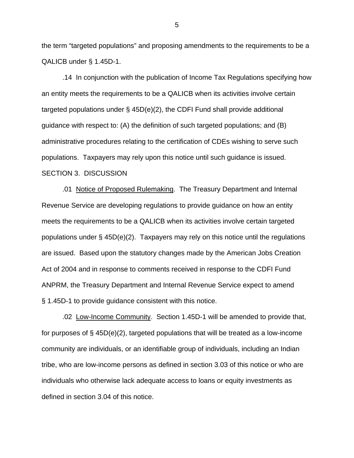the term "targeted populations" and proposing amendments to the requirements to be a QALICB under § 1.45D-1.

 .14 In conjunction with the publication of Income Tax Regulations specifying how an entity meets the requirements to be a QALICB when its activities involve certain targeted populations under § 45D(e)(2), the CDFI Fund shall provide additional guidance with respect to: (A) the definition of such targeted populations; and (B) administrative procedures relating to the certification of CDEs wishing to serve such populations. Taxpayers may rely upon this notice until such guidance is issued. SECTION 3. DISCUSSION

 .01 Notice of Proposed Rulemaking. The Treasury Department and Internal Revenue Service are developing regulations to provide guidance on how an entity meets the requirements to be a QALICB when its activities involve certain targeted populations under § 45D(e)(2). Taxpayers may rely on this notice until the regulations are issued. Based upon the statutory changes made by the American Jobs Creation Act of 2004 and in response to comments received in response to the CDFI Fund ANPRM, the Treasury Department and Internal Revenue Service expect to amend § 1.45D-1 to provide guidance consistent with this notice.

.02 Low-Income Community. Section 1.45D-1 will be amended to provide that, for purposes of § 45D(e)(2), targeted populations that will be treated as a low-income community are individuals, or an identifiable group of individuals, including an Indian tribe, who are low-income persons as defined in section 3.03 of this notice or who are individuals who otherwise lack adequate access to loans or equity investments as defined in section 3.04 of this notice.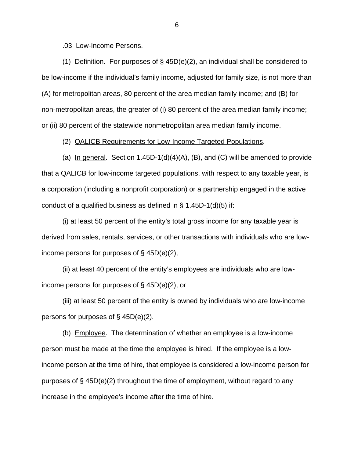.03 Low-Income Persons.

(1) Definition. For purposes of  $\S$  45D(e)(2), an individual shall be considered to be low-income if the individual's family income, adjusted for family size, is not more than (A) for metropolitan areas, 80 percent of the area median family income; and (B) for non-metropolitan areas, the greater of (i) 80 percent of the area median family income; or (ii) 80 percent of the statewide nonmetropolitan area median family income.

(2) QALICB Requirements for Low-Income Targeted Populations.

(a) In general. Section  $1.45D-1(d)(4)(A)$ , (B), and (C) will be amended to provide that a QALICB for low-income targeted populations, with respect to any taxable year, is a corporation (including a nonprofit corporation) or a partnership engaged in the active conduct of a qualified business as defined in § 1.45D-1(d)(5) if:

(i) at least 50 percent of the entity's total gross income for any taxable year is derived from sales, rentals, services, or other transactions with individuals who are lowincome persons for purposes of § 45D(e)(2),

(ii) at least 40 percent of the entity's employees are individuals who are lowincome persons for purposes of § 45D(e)(2), or

(iii) at least 50 percent of the entity is owned by individuals who are low-income persons for purposes of § 45D(e)(2).

 (b) Employee. The determination of whether an employee is a low-income person must be made at the time the employee is hired. If the employee is a lowincome person at the time of hire, that employee is considered a low-income person for purposes of § 45D(e)(2) throughout the time of employment, without regard to any increase in the employee's income after the time of hire.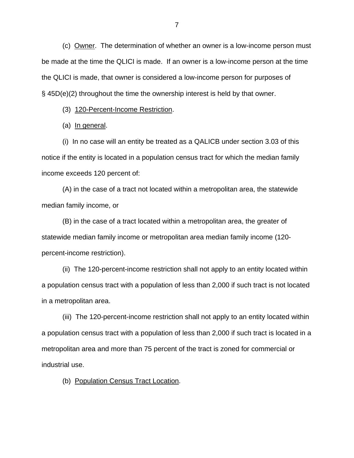(c) Owner. The determination of whether an owner is a low-income person must be made at the time the QLICI is made. If an owner is a low-income person at the time the QLICI is made, that owner is considered a low-income person for purposes of § 45D(e)(2) throughout the time the ownership interest is held by that owner.

(3) 120-Percent-Income Restriction.

(a) In general.

(i) In no case will an entity be treated as a QALICB under section 3.03 of this notice if the entity is located in a population census tract for which the median family income exceeds 120 percent of:

(A) in the case of a tract not located within a metropolitan area, the statewide median family income, or

(B) in the case of a tract located within a metropolitan area, the greater of statewide median family income or metropolitan area median family income (120 percent-income restriction).

(ii) The 120-percent-income restriction shall not apply to an entity located within a population census tract with a population of less than 2,000 if such tract is not located in a metropolitan area.

(iii) The 120-percent-income restriction shall not apply to an entity located within a population census tract with a population of less than 2,000 if such tract is located in a metropolitan area and more than 75 percent of the tract is zoned for commercial or industrial use.

(b) Population Census Tract Location.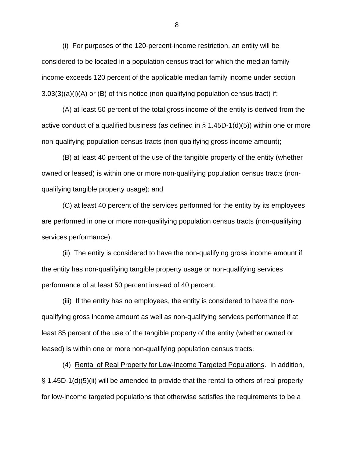(i) For purposes of the 120-percent-income restriction, an entity will be considered to be located in a population census tract for which the median family income exceeds 120 percent of the applicable median family income under section 3.03(3)(a)(i)(A) or (B) of this notice (non-qualifying population census tract) if:

(A) at least 50 percent of the total gross income of the entity is derived from the active conduct of a qualified business (as defined in § 1.45D-1(d)(5)) within one or more non-qualifying population census tracts (non-qualifying gross income amount);

(B) at least 40 percent of the use of the tangible property of the entity (whether owned or leased) is within one or more non-qualifying population census tracts (nonqualifying tangible property usage); and

(C) at least 40 percent of the services performed for the entity by its employees are performed in one or more non-qualifying population census tracts (non-qualifying services performance).

(ii) The entity is considered to have the non-qualifying gross income amount if the entity has non-qualifying tangible property usage or non-qualifying services performance of at least 50 percent instead of 40 percent.

(iii) If the entity has no employees, the entity is considered to have the nonqualifying gross income amount as well as non-qualifying services performance if at least 85 percent of the use of the tangible property of the entity (whether owned or leased) is within one or more non-qualifying population census tracts.

(4) Rental of Real Property for Low-Income Targeted Populations. In addition, § 1.45D-1(d)(5)(ii) will be amended to provide that the rental to others of real property for low-income targeted populations that otherwise satisfies the requirements to be a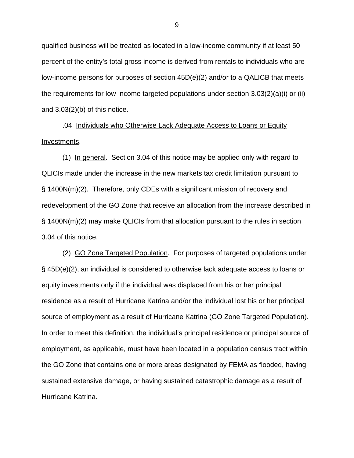qualified business will be treated as located in a low-income community if at least 50 percent of the entity's total gross income is derived from rentals to individuals who are low-income persons for purposes of section 45D(e)(2) and/or to a QALICB that meets the requirements for low-income targeted populations under section 3.03(2)(a)(i) or (ii) and 3.03(2)(b) of this notice.

.04 Individuals who Otherwise Lack Adequate Access to Loans or Equity Investments.

(1) In general. Section 3.04 of this notice may be applied only with regard to QLICIs made under the increase in the new markets tax credit limitation pursuant to § 1400N(m)(2). Therefore, only CDEs with a significant mission of recovery and redevelopment of the GO Zone that receive an allocation from the increase described in § 1400N(m)(2) may make QLICIs from that allocation pursuant to the rules in section 3.04 of this notice.

(2) GO Zone Targeted Population. For purposes of targeted populations under § 45D(e)(2), an individual is considered to otherwise lack adequate access to loans or equity investments only if the individual was displaced from his or her principal residence as a result of Hurricane Katrina and/or the individual lost his or her principal source of employment as a result of Hurricane Katrina (GO Zone Targeted Population). In order to meet this definition, the individual's principal residence or principal source of employment, as applicable, must have been located in a population census tract within the GO Zone that contains one or more areas designated by FEMA as flooded, having sustained extensive damage, or having sustained catastrophic damage as a result of Hurricane Katrina.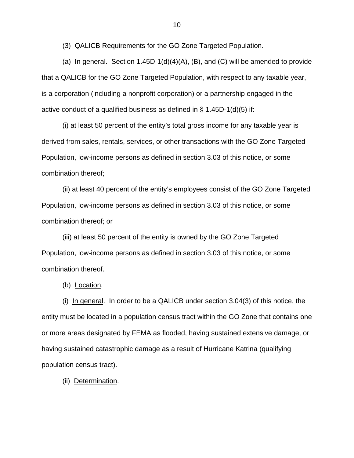(3) QALICB Requirements for the GO Zone Targeted Population.

(a) In general. Section  $1.45D-1(d)(4)(A)$ , (B), and (C) will be amended to provide that a QALICB for the GO Zone Targeted Population, with respect to any taxable year, is a corporation (including a nonprofit corporation) or a partnership engaged in the active conduct of a qualified business as defined in  $\S$  1.45D-1(d)(5) if:

(i) at least 50 percent of the entity's total gross income for any taxable year is derived from sales, rentals, services, or other transactions with the GO Zone Targeted Population, low-income persons as defined in section 3.03 of this notice, or some combination thereof;

(ii) at least 40 percent of the entity's employees consist of the GO Zone Targeted Population, low-income persons as defined in section 3.03 of this notice, or some combination thereof; or

(iii) at least 50 percent of the entity is owned by the GO Zone Targeted Population, low-income persons as defined in section 3.03 of this notice, or some combination thereof.

(b) Location.

(i) In general. In order to be a QALICB under section  $3.04(3)$  of this notice, the entity must be located in a population census tract within the GO Zone that contains one or more areas designated by FEMA as flooded, having sustained extensive damage, or having sustained catastrophic damage as a result of Hurricane Katrina (qualifying population census tract).

(ii) Determination.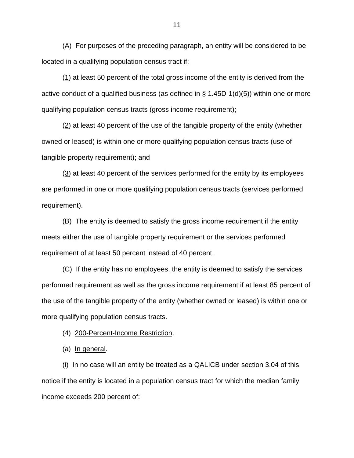(A) For purposes of the preceding paragraph, an entity will be considered to be located in a qualifying population census tract if:

(1) at least 50 percent of the total gross income of the entity is derived from the active conduct of a qualified business (as defined in  $\S$  1.45D-1(d)(5)) within one or more qualifying population census tracts (gross income requirement);

(2) at least 40 percent of the use of the tangible property of the entity (whether owned or leased) is within one or more qualifying population census tracts (use of tangible property requirement); and

 $(3)$  at least 40 percent of the services performed for the entity by its employees are performed in one or more qualifying population census tracts (services performed requirement).

(B) The entity is deemed to satisfy the gross income requirement if the entity meets either the use of tangible property requirement or the services performed requirement of at least 50 percent instead of 40 percent.

(C) If the entity has no employees, the entity is deemed to satisfy the services performed requirement as well as the gross income requirement if at least 85 percent of the use of the tangible property of the entity (whether owned or leased) is within one or more qualifying population census tracts.

(4) 200-Percent-Income Restriction.

(a) In general.

(i) In no case will an entity be treated as a QALICB under section 3.04 of this notice if the entity is located in a population census tract for which the median family income exceeds 200 percent of: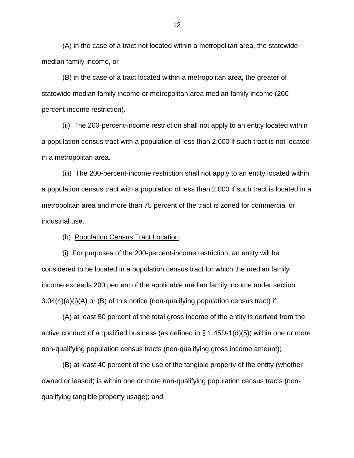(A) in the case of a tract not located within a metropolitan area, the statewide median family income, or

(B) in the case of a tract located within a metropolitan area, the greater of statewide median family income or metropolitan area median family income (200 percent-income restriction).

(ii) The 200-percent-income restriction shall not apply to an entity located within a population census tract with a population of less than 2,000 if such tract is not located in a metropolitan area.

(iii) The 200-percent-income restriction shall not apply to an entity located within a population census tract with a population of less than 2,000 if such tract is located in a metropolitan area and more than 75 percent of the tract is zoned for commercial or industrial use.

(b) Population Census Tract Location.

(i) For purposes of the 200-percent-income restriction, an entity will be considered to be located in a population census tract for which the median family income exceeds 200 percent of the applicable median family income under section  $3.04(4)(a)(i)(A)$  or (B) of this notice (non-qualifying population census tract) if:

(A) at least 50 percent of the total gross income of the entity is derived from the active conduct of a qualified business (as defined in § 1.45D-1(d)(5)) within one or more non-qualifying population census tracts (non-qualifying gross income amount);

(B) at least 40 percent of the use of the tangible property of the entity (whether owned or leased) is within one or more non-qualifying population census tracts (nonqualifying tangible property usage); and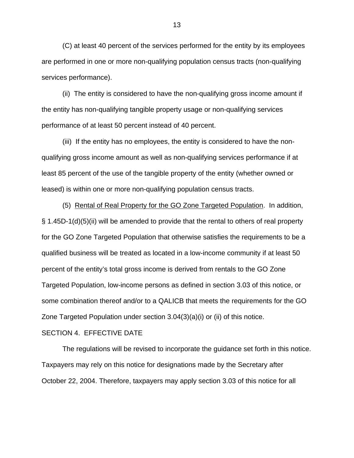(C) at least 40 percent of the services performed for the entity by its employees are performed in one or more non-qualifying population census tracts (non-qualifying services performance).

(ii) The entity is considered to have the non-qualifying gross income amount if the entity has non-qualifying tangible property usage or non-qualifying services performance of at least 50 percent instead of 40 percent.

(iii) If the entity has no employees, the entity is considered to have the nonqualifying gross income amount as well as non-qualifying services performance if at least 85 percent of the use of the tangible property of the entity (whether owned or leased) is within one or more non-qualifying population census tracts.

(5) Rental of Real Property for the GO Zone Targeted Population. In addition, § 1.45D-1(d)(5)(ii) will be amended to provide that the rental to others of real property for the GO Zone Targeted Population that otherwise satisfies the requirements to be a qualified business will be treated as located in a low-income community if at least 50 percent of the entity's total gross income is derived from rentals to the GO Zone Targeted Population, low-income persons as defined in section 3.03 of this notice, or some combination thereof and/or to a QALICB that meets the requirements for the GO Zone Targeted Population under section 3.04(3)(a)(i) or (ii) of this notice.

#### SECTION 4. EFFECTIVE DATE

The regulations will be revised to incorporate the guidance set forth in this notice. Taxpayers may rely on this notice for designations made by the Secretary after October 22, 2004. Therefore, taxpayers may apply section 3.03 of this notice for all